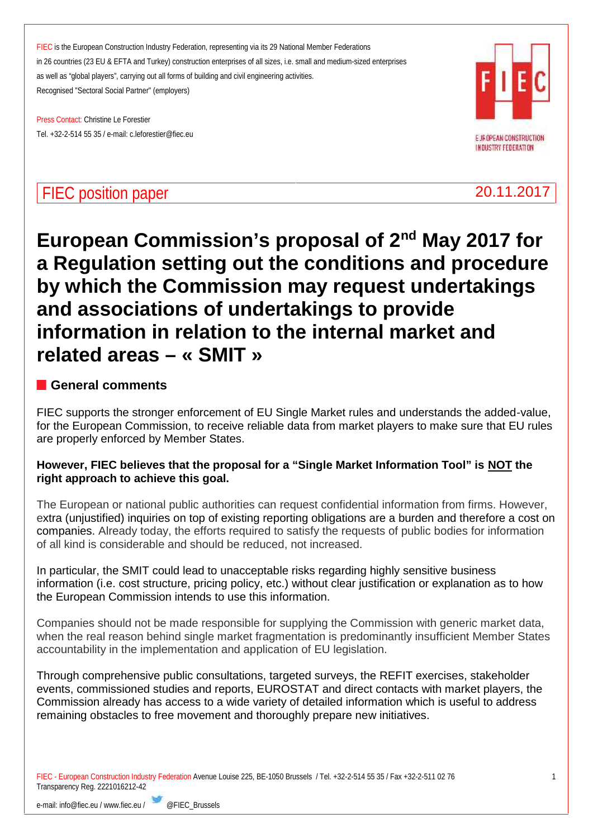Press Contact: Christine Le Forestier Tel. +32-2-514 55 35 / e-mail: c.leforestier@fiec.eu



**INDUSTRY FEDERATION** 

# **FIEC position paper** 20.11.2017

# **European Commission's proposal of 2nd May 2017 for a Regulation setting out the conditions and procedure by which the Commission may request undertakings and associations of undertakings to provide information in relation to the internal market and related areas – « SMIT »**

# **General comments**

FIEC supports the stronger enforcement of EU Single Market rules and understands the added-value, for the European Commission, to receive reliable data from market players to make sure that EU rules are properly enforced by Member States.

# **However, FIEC believes that the proposal for a "Single Market Information Tool" is NOT the right approach to achieve this goal.**

The European or national public authorities can request confidential information from firms. However, extra (unjustified) inquiries on top of existing reporting obligations are a burden and therefore a cost on companies. Already today, the efforts required to satisfy the requests of public bodies for information of all kind is considerable and should be reduced, not increased.

In particular, the SMIT could lead to unacceptable risks regarding highly sensitive business information (i.e. cost structure, pricing policy, etc.) without clear justification or explanation as to how the European Commission intends to use this information.

Companies should not be made responsible for supplying the Commission with generic market data, when the real reason behind single market fragmentation is predominantly insufficient Member States accountability in the implementation and application of EU legislation.

Through comprehensive public consultations, targeted surveys, the REFIT exercises, stakeholder events, commissioned studies and reports, EUROSTAT and direct contacts with market players, the Commission already has access to a wide variety of detailed information which is useful to address remaining obstacles to free movement and thoroughly prepare new initiatives.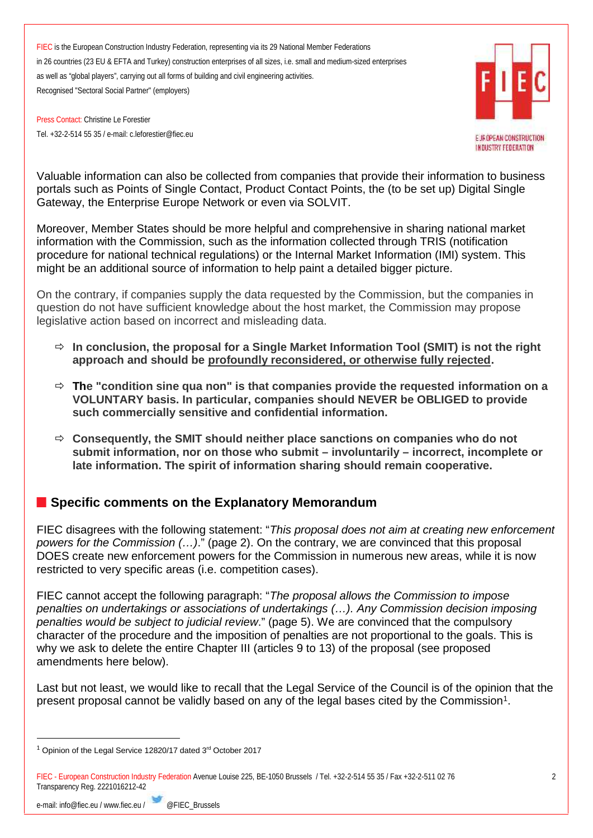Press Contact: Christine Le Forestier Tel. +32-2-514 55 35 / e-mail: c.leforestier@fiec.eu



Valuable information can also be collected from companies that provide their information to business portals such as Points of Single Contact, Product Contact Points, the (to be set up) Digital Single Gateway, the Enterprise Europe Network or even via SOLVIT.

Moreover, Member States should be more helpful and comprehensive in sharing national market information with the Commission, such as the information collected through TRIS (notification procedure for national technical regulations) or the Internal Market Information (IMI) system. This might be an additional source of information to help paint a detailed bigger picture.

On the contrary, if companies supply the data requested by the Commission, but the companies in question do not have sufficient knowledge about the host market, the Commission may propose legislative action based on incorrect and misleading data.

- **In conclusion, the proposal for a Single Market Information Tool (SMIT) is not the right approach and should be profoundly reconsidered, or otherwise fully rejected.**
- **The "condition sine qua non" is that companies provide the requested information on a VOLUNTARY basis. In particular, companies should NEVER be OBLIGED to provide such commercially sensitive and confidential information.**
- **Consequently, the SMIT should neither place sanctions on companies who do not submit information, nor on those who submit – involuntarily – incorrect, incomplete or late information. The spirit of information sharing should remain cooperative.**

# **Specific comments on the Explanatory Memorandum**

FIEC disagrees with the following statement: "*This proposal does not aim at creating new enforcement powers for the Commission (…)*." (page 2). On the contrary, we are convinced that this proposal DOES create new enforcement powers for the Commission in numerous new areas, while it is now restricted to very specific areas (i.e. competition cases).

FIEC cannot accept the following paragraph: "*The proposal allows the Commission to impose penalties on undertakings or associations of undertakings (…). Any Commission decision imposing penalties would be subject to judicial review*." (page 5). We are convinced that the compulsory character of the procedure and the imposition of penalties are not proportional to the goals. This is why we ask to delete the entire Chapter III (articles 9 to 13) of the proposal (see proposed amendments here below).

Last but not least, we would like to recall that the Legal Service of the Council is of the opinion that the present proposal cannot be validly based on any of the legal bases cited by the Commission<sup>1</sup>.

 $1$  Opinion of the Legal Service 12820/17 dated  $3<sup>rd</sup>$  October 2017

FIEC - European Construction Industry Federation Avenue Louise 225, BE-1050 Brussels / Tel. +32-2-514 55 35 / Fax +32-2-511 02 76 Transparency Reg. 2221016212-42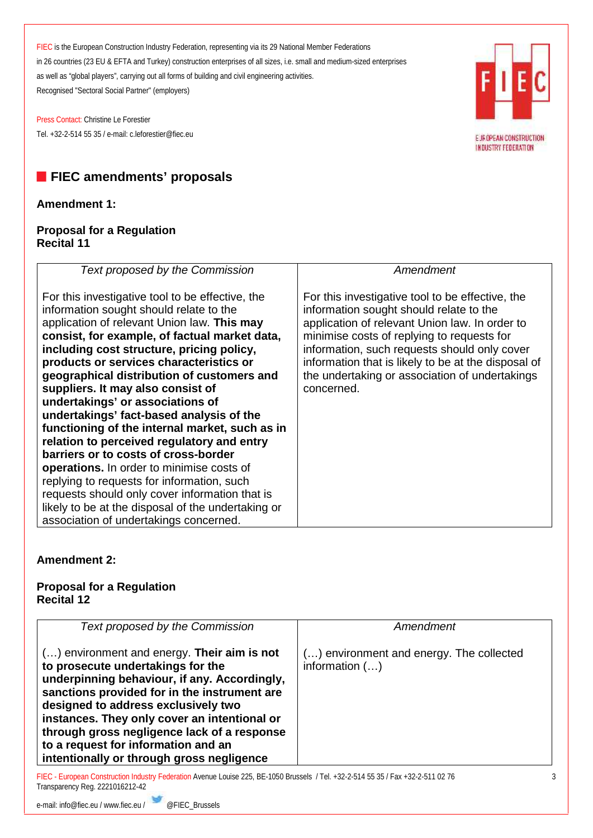Press Contact: Christine Le Forestier Tel. +32-2-514 55 35 / e-mail: c.leforestier@fiec.eu



# **Amendment 1:**

#### **Proposal for a Regulation Recital 11**



# **Amendment 2:**

# **Proposal for a Regulation Recital 12**

| <b>Text proposed by the Commission</b>                                                                                                                                                                                                                                                                                                                                                                       | Amendment                                                    |
|--------------------------------------------------------------------------------------------------------------------------------------------------------------------------------------------------------------------------------------------------------------------------------------------------------------------------------------------------------------------------------------------------------------|--------------------------------------------------------------|
| $()$ environment and energy. Their aim is not<br>to prosecute undertakings for the<br>underpinning behaviour, if any. Accordingly,<br>sanctions provided for in the instrument are<br>designed to address exclusively two<br>instances. They only cover an intentional or<br>through gross negligence lack of a response<br>to a request for information and an<br>intentionally or through gross negligence | () environment and energy. The collected<br>information $()$ |

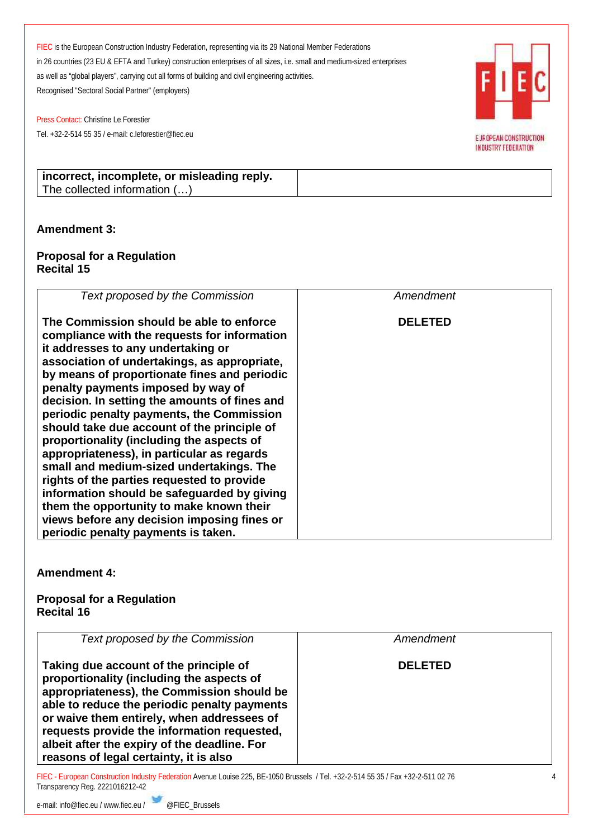Press Contact: Christine Le Forestier Tel. +32-2-514 55 35 / e-mail: c.leforestier@fiec.eu



INDUSTRY FEDERATION

**incorrect, incomplete, or misleading reply.** The collected information (…)

# **Amendment 3:**

#### **Proposal for a Regulation Recital 15**

| Text proposed by the Commission                                                                                                                                                                                                                                                                                                                                                                                                                                                                                                                                                                                                                                                                                                                                                         | Amendment      |
|-----------------------------------------------------------------------------------------------------------------------------------------------------------------------------------------------------------------------------------------------------------------------------------------------------------------------------------------------------------------------------------------------------------------------------------------------------------------------------------------------------------------------------------------------------------------------------------------------------------------------------------------------------------------------------------------------------------------------------------------------------------------------------------------|----------------|
| The Commission should be able to enforce<br>compliance with the requests for information<br>it addresses to any undertaking or<br>association of undertakings, as appropriate,<br>by means of proportionate fines and periodic<br>penalty payments imposed by way of<br>decision. In setting the amounts of fines and<br>periodic penalty payments, the Commission<br>should take due account of the principle of<br>proportionality (including the aspects of<br>appropriateness), in particular as regards<br>small and medium-sized undertakings. The<br>rights of the parties requested to provide<br>information should be safeguarded by giving<br>them the opportunity to make known their<br>views before any decision imposing fines or<br>periodic penalty payments is taken. | <b>DELETED</b> |

**Amendment 4:**

#### **Proposal for a Regulation Recital 16**

| Text proposed by the Commission                                                                                                                                                                                                                                                                                                                                          | Amendment      |  |
|--------------------------------------------------------------------------------------------------------------------------------------------------------------------------------------------------------------------------------------------------------------------------------------------------------------------------------------------------------------------------|----------------|--|
| Taking due account of the principle of<br>proportionality (including the aspects of<br>appropriateness), the Commission should be<br>able to reduce the periodic penalty payments<br>or waive them entirely, when addressees of<br>requests provide the information requested,<br>albeit after the expiry of the deadline. For<br>reasons of legal certainty, it is also | <b>DELETED</b> |  |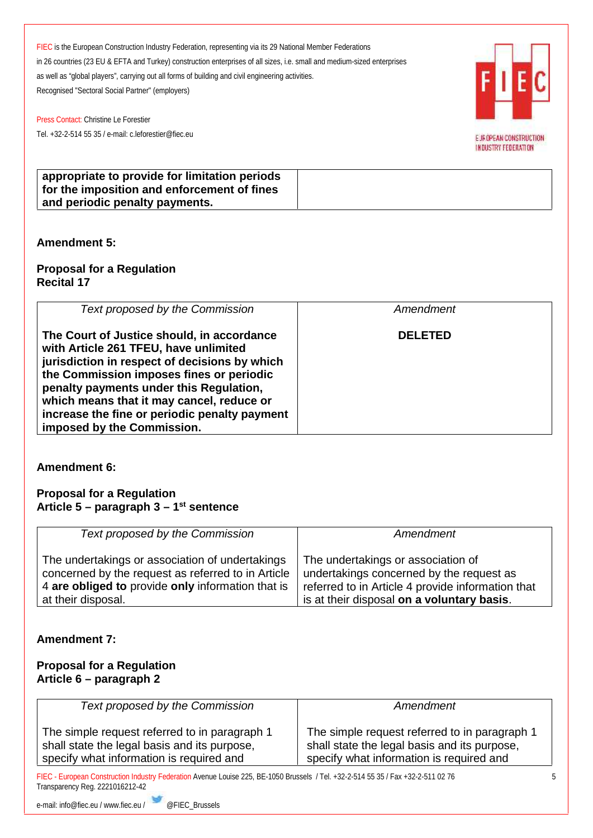E JR OPEAN CONSTRUCTION **INDUSTRY FEDERATION** 

Press Contact: Christine Le Forestier Tel. +32-2-514 55 35 / e-mail: c.leforestier@fiec.eu



# **Amendment 5:**

**Proposal for a Regulation Recital 17**

| Text proposed by the Commission                                                                                                                                                                                                                                                                                                                         | Amendment      |
|---------------------------------------------------------------------------------------------------------------------------------------------------------------------------------------------------------------------------------------------------------------------------------------------------------------------------------------------------------|----------------|
| The Court of Justice should, in accordance<br>with Article 261 TFEU, have unlimited<br>jurisdiction in respect of decisions by which<br>the Commission imposes fines or periodic<br>penalty payments under this Regulation,<br>which means that it may cancel, reduce or<br>increase the fine or periodic penalty payment<br>imposed by the Commission. | <b>DELETED</b> |

**Amendment 6:**

#### **Proposal for a Regulation Article 5 – paragraph 3 – 1 st sentence**

| Text proposed by the Commission                    | Amendment                                         |
|----------------------------------------------------|---------------------------------------------------|
| The undertakings or association of undertakings    | The undertakings or association of                |
| concerned by the request as referred to in Article | undertakings concerned by the request as          |
| 4 are obliged to provide only information that is  | referred to in Article 4 provide information that |
| at their disposal.                                 | is at their disposal on a voluntary basis.        |

# **Amendment 7:**

#### **Proposal for a Regulation Article 6 – paragraph 2**

| Text proposed by the Commission                                                                                                           | Amendment                                                                                                                                 |  |
|-------------------------------------------------------------------------------------------------------------------------------------------|-------------------------------------------------------------------------------------------------------------------------------------------|--|
| The simple request referred to in paragraph 1<br>shall state the legal basis and its purpose,<br>specify what information is required and | The simple request referred to in paragraph 1<br>shall state the legal basis and its purpose,<br>specify what information is required and |  |
| FIEC - European Construction Industry Federation Avenue Louise 225, BE-1050 Brussels / Tel. +32-2-514 55 35 / Fax +32-2-511 02 76         |                                                                                                                                           |  |

Transparency Reg. 2221016212-42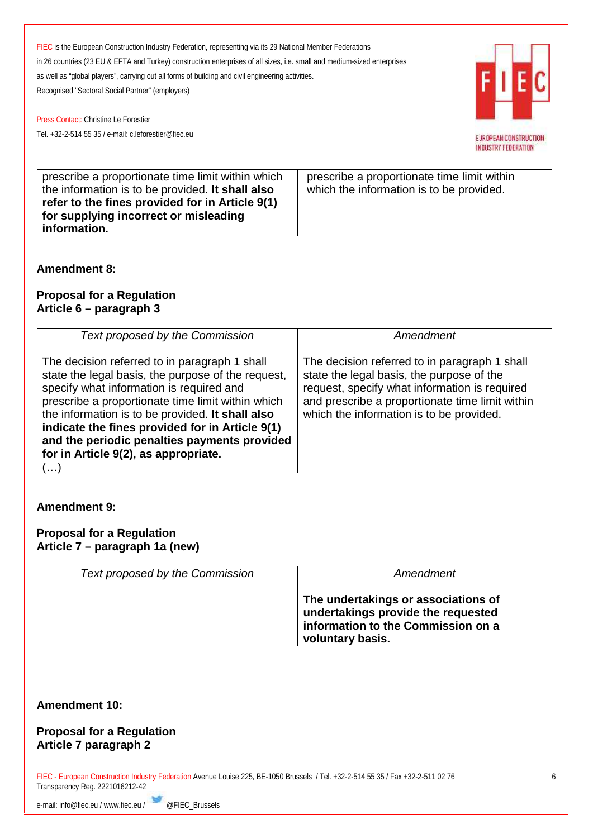E JR OPEAN CONSTRUCTION **INDUSTRY FEDERATION** 

Press Contact: Christine Le Forestier Tel. +32-2-514 55 35 / e-mail: c.leforestier@fiec.eu

| prescribe a proportionate time limit within which<br>the information is to be provided. It shall also<br>refer to the fines provided for in Article 9(1) | prescribe a proportionate time limit within<br>which the information is to be provided. |
|----------------------------------------------------------------------------------------------------------------------------------------------------------|-----------------------------------------------------------------------------------------|
| for supplying incorrect or misleading<br>information.                                                                                                    |                                                                                         |

# **Amendment 8:**

# **Proposal for a Regulation Article 6 – paragraph 3**

| Text proposed by the Commission                                                                                                                                                                                                                                                                                                                                                                                                | Amendment                                                                                                                                                                                                                                  |
|--------------------------------------------------------------------------------------------------------------------------------------------------------------------------------------------------------------------------------------------------------------------------------------------------------------------------------------------------------------------------------------------------------------------------------|--------------------------------------------------------------------------------------------------------------------------------------------------------------------------------------------------------------------------------------------|
| The decision referred to in paragraph 1 shall<br>state the legal basis, the purpose of the request,<br>specify what information is required and<br>prescribe a proportionate time limit within which<br>the information is to be provided. It shall also<br>indicate the fines provided for in Article 9(1)<br>and the periodic penalties payments provided<br>for in Article 9(2), as appropriate.<br>$\left( \ldots \right)$ | The decision referred to in paragraph 1 shall<br>state the legal basis, the purpose of the<br>request, specify what information is required<br>and prescribe a proportionate time limit within<br>which the information is to be provided. |

# **Amendment 9:**

#### **Proposal for a Regulation Article 7 – paragraph 1a (new)**

| Text proposed by the Commission | Amendment                                                                                                                           |
|---------------------------------|-------------------------------------------------------------------------------------------------------------------------------------|
|                                 | The undertakings or associations of<br>undertakings provide the requested<br>information to the Commission on a<br>voluntary basis. |

# **Amendment 10:**

#### **Proposal for a Regulation Article 7 paragraph 2**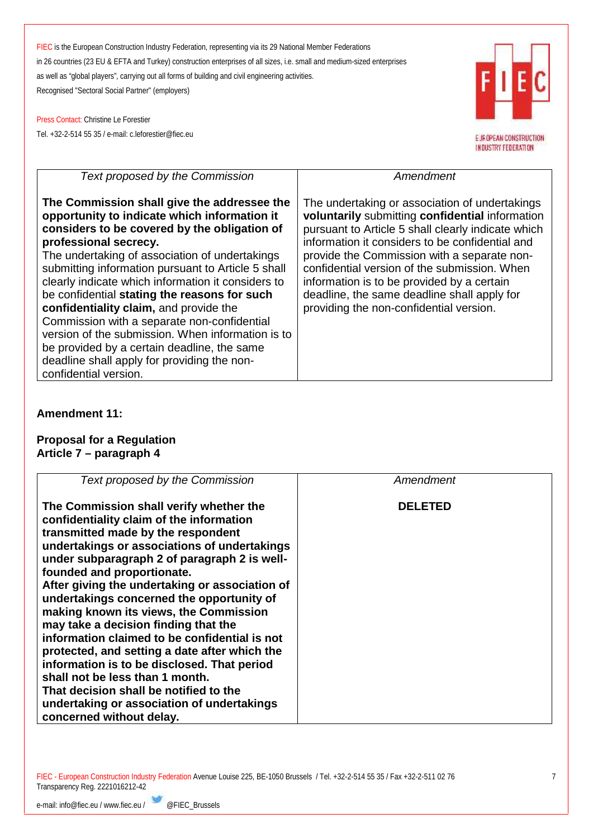Press Contact: Christine Le Forestier Tel. +32-2-514 55 35 / e-mail: c.leforestier@fiec.eu



| Text proposed by the Commission                                                                                                                                                                                                                                                                                                                                                                                                                                                                                                                                                                                                                         | Amendment                                                                                                                                                                                                                                                                                                                                                                                                                                         |  |
|---------------------------------------------------------------------------------------------------------------------------------------------------------------------------------------------------------------------------------------------------------------------------------------------------------------------------------------------------------------------------------------------------------------------------------------------------------------------------------------------------------------------------------------------------------------------------------------------------------------------------------------------------------|---------------------------------------------------------------------------------------------------------------------------------------------------------------------------------------------------------------------------------------------------------------------------------------------------------------------------------------------------------------------------------------------------------------------------------------------------|--|
| The Commission shall give the addressee the<br>opportunity to indicate which information it<br>considers to be covered by the obligation of<br>professional secrecy.<br>The undertaking of association of undertakings<br>submitting information pursuant to Article 5 shall<br>clearly indicate which information it considers to<br>be confidential stating the reasons for such<br>confidentiality claim, and provide the<br>Commission with a separate non-confidential<br>version of the submission. When information is to<br>be provided by a certain deadline, the same<br>deadline shall apply for providing the non-<br>confidential version. | The undertaking or association of undertakings<br>voluntarily submitting confidential information<br>pursuant to Article 5 shall clearly indicate which<br>information it considers to be confidential and<br>provide the Commission with a separate non-<br>confidential version of the submission. When<br>information is to be provided by a certain<br>deadline, the same deadline shall apply for<br>providing the non-confidential version. |  |

# **Amendment 11:**

#### **Proposal for a Regulation Article 7 – paragraph 4**

| Text proposed by the Commission                                                                                                                                                                                                                                                                                                                                                                                                                                                                                                                                                                                                                                                                                                                  | Amendment      |
|--------------------------------------------------------------------------------------------------------------------------------------------------------------------------------------------------------------------------------------------------------------------------------------------------------------------------------------------------------------------------------------------------------------------------------------------------------------------------------------------------------------------------------------------------------------------------------------------------------------------------------------------------------------------------------------------------------------------------------------------------|----------------|
| The Commission shall verify whether the<br>confidentiality claim of the information<br>transmitted made by the respondent<br>undertakings or associations of undertakings<br>under subparagraph 2 of paragraph 2 is well-<br>founded and proportionate.<br>After giving the undertaking or association of<br>undertakings concerned the opportunity of<br>making known its views, the Commission<br>may take a decision finding that the<br>information claimed to be confidential is not<br>protected, and setting a date after which the<br>information is to be disclosed. That period<br>shall not be less than 1 month.<br>That decision shall be notified to the<br>undertaking or association of undertakings<br>concerned without delay. | <b>DELETED</b> |